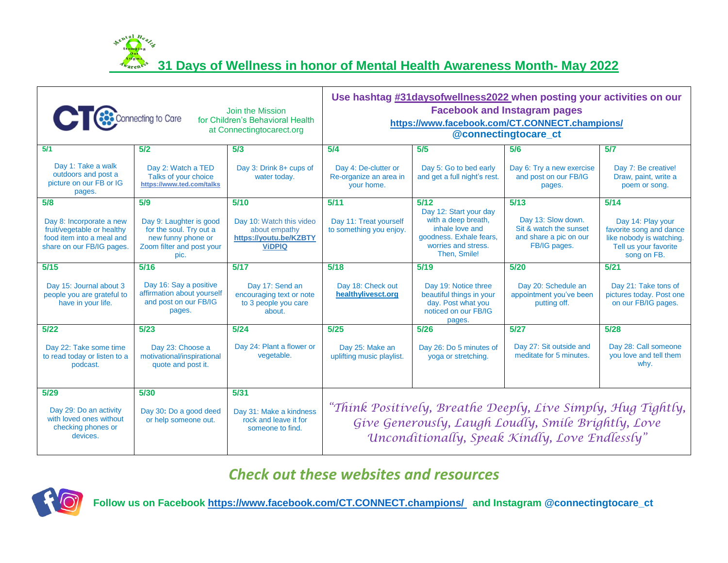ental H **31 Days of Wellness in honor of Mental Health Awareness Month- May 2022**

| Join the Mission<br>Connecting to Care<br>for Children's Behavioral Health<br>at Connectingtocarect.org          |                                                                                                               |                                                                                      | Use hashtag #31daysofwellness2022 when posting your activities on our<br><b>Facebook and Instagram pages</b><br>https://www.facebook.com/CT.CONNECT.champions/<br>@connectingtocare_ct |                                                                                                                                    |                                                                                        |                                                                                                                  |
|------------------------------------------------------------------------------------------------------------------|---------------------------------------------------------------------------------------------------------------|--------------------------------------------------------------------------------------|----------------------------------------------------------------------------------------------------------------------------------------------------------------------------------------|------------------------------------------------------------------------------------------------------------------------------------|----------------------------------------------------------------------------------------|------------------------------------------------------------------------------------------------------------------|
| 5/1                                                                                                              | 5/2                                                                                                           | 5/3                                                                                  | 5/4                                                                                                                                                                                    | 5/5                                                                                                                                | 5/6                                                                                    | 5/7                                                                                                              |
| Day 1: Take a walk<br>outdoors and post a<br>picture on our FB or IG<br>pages.                                   | Day 2: Watch a TED<br>Talks of your choice<br>https://www.ted.com/talks                                       | Day 3: Drink 8+ cups of<br>water today.                                              | Day 4: De-clutter or<br>Re-organize an area in<br>your home.                                                                                                                           | Day 5: Go to bed early<br>and get a full night's rest.                                                                             | Day 6: Try a new exercise<br>and post on our FB/IG<br>pages.                           | Day 7: Be creative!<br>Draw, paint, write a<br>poem or song.                                                     |
| 5/8                                                                                                              | 5/9                                                                                                           | 5/10                                                                                 | 5/11                                                                                                                                                                                   | $5/12$                                                                                                                             | 5/13                                                                                   | 5/14                                                                                                             |
| Day 8: Incorporate a new<br>fruit/vegetable or healthy<br>food item into a meal and<br>share on our FB/IG pages. | Day 9: Laughter is good<br>for the soul. Try out a<br>new funny phone or<br>Zoom filter and post your<br>pic. | Day 10: Watch this video<br>about empathy<br>https://voutu.be/KZBTY<br><b>ViDPIQ</b> | Day 11: Treat yourself<br>to something you enjoy.                                                                                                                                      | Day 12: Start your day<br>with a deep breath,<br>inhale love and<br>goodness. Exhale fears,<br>worries and stress.<br>Then, Smile! | Day 13: Slow down.<br>Sit & watch the sunset<br>and share a pic on our<br>FB/IG pages. | Day 14: Play your<br>favorite song and dance<br>like nobody is watching.<br>Tell us your favorite<br>song on FB. |
| 5/15                                                                                                             | 5/16                                                                                                          | 5/17                                                                                 | 5/18                                                                                                                                                                                   | 5/19                                                                                                                               | 5/20                                                                                   | 5/21                                                                                                             |
| Day 15: Journal about 3<br>people you are grateful to<br>have in your life.                                      | Day 16: Say a positive<br>affirmation about yourself<br>and post on our FB/IG<br>pages.                       | Day 17: Send an<br>encouraging text or note<br>to 3 people you care<br>about.        | Day 18: Check out<br>healthylivesct.org                                                                                                                                                | Day 19: Notice three<br>beautiful things in your<br>day. Post what you<br>noticed on our FB/IG<br>pages.                           | Day 20: Schedule an<br>appointment you've been<br>putting off.                         | Day 21: Take tons of<br>pictures today. Post one<br>on our FB/IG pages.                                          |
| $5/22$                                                                                                           | 5/23                                                                                                          | 5/24                                                                                 | 5/25                                                                                                                                                                                   | 5/26                                                                                                                               | 5/27                                                                                   | $5/28$                                                                                                           |
| Day 22: Take some time<br>to read today or listen to a<br>podcast.                                               | Day 23: Choose a<br>motivational/inspirational<br>quote and post it.                                          | Day 24: Plant a flower or<br>vegetable.                                              | Day 25: Make an<br>uplifting music playlist.                                                                                                                                           | Day 26: Do 5 minutes of<br>yoga or stretching.                                                                                     | Day 27: Sit outside and<br>meditate for 5 minutes.                                     | Day 28: Call someone<br>you love and tell them<br>why.                                                           |
| 5/29                                                                                                             | 5/30                                                                                                          | 5/31                                                                                 |                                                                                                                                                                                        |                                                                                                                                    |                                                                                        |                                                                                                                  |
| Day 29: Do an activity<br>with loved ones without<br>checking phones or<br>devices.                              | Day 30: Do a good deed<br>or help someone out.                                                                | Day 31: Make a kindness<br>rock and leave it for<br>someone to find.                 | "Think Positively, Breathe Deeply, Live Simply, Hug Tightly,<br>Give Generously, Laugh Loudly, Smile Brightly, Love<br>Unconditionally, Speak Kindly, Love Endlessly"                  |                                                                                                                                    |                                                                                        |                                                                                                                  |

## *Check out these websites and resources*



**Follow us on Facebook<https://www.facebook.com/CT.CONNECT.champions/> and Instagram @connectingtocare\_ct**